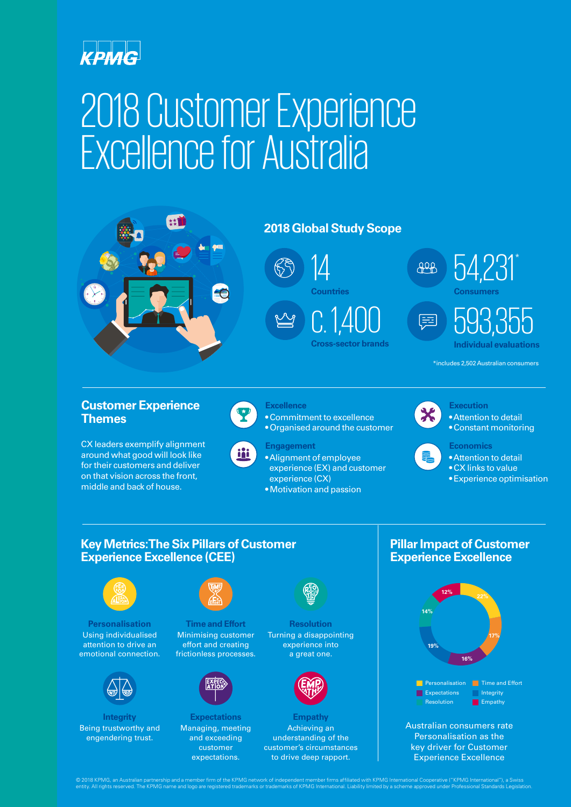

# 2018 Customer Experience Excellence for Australia



**Personalisation** Using individualised attention to drive an emotional connection.



**Integrity** Being trustworthy and engendering trust.



**Time and Effort** Minimising customer effort and creating frictionless processes.



**Expectations** Managing, meeting and exceeding customer expectations.



**Resolution** Turning a disappointing experience into a great one.



**Empathy** Achieving an understanding of the customer's circumstances to drive deep rapport.



Australian consumers rate Personalisation as the key driver for Customer Experience Excellence

© 2018 KPMG, an Australian partnership and a member firm of the KPMG network of independent member firms affiliated with KPMG International Cooperative ("KPMG International"), a Swiss<br>entity. All rights reserved. The KPMG